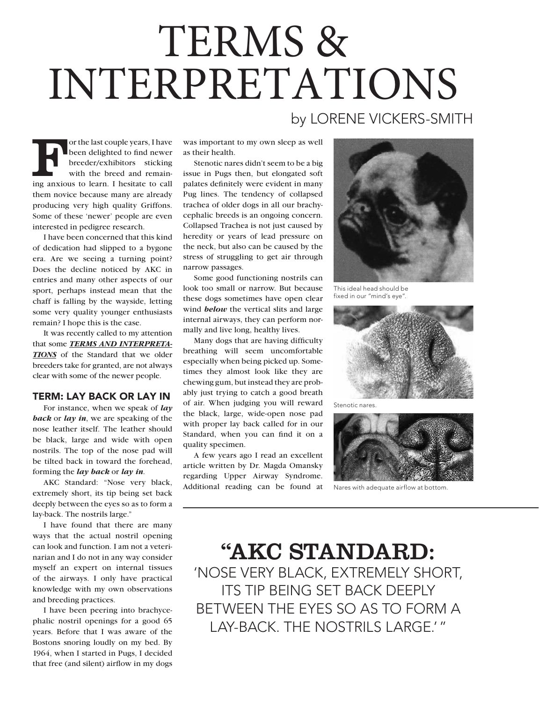# TERMS & INTERPRETATIONS

## by LORENE VICKERS-SMITH

For the last couple years, I have<br>
been delighted to find newer<br>
breeder/exhibitors sticking<br>
with the breed and remain-<br>
ing anxious to learn. I hesitate to call been delighted to find newer breeder/exhibitors sticking with the breed and remainthem novice because many are already producing very high quality Griffons. Some of these 'newer' people are even interested in pedigree research.

I have been concerned that this kind of dedication had slipped to a bygone era. Are we seeing a turning point? Does the decline noticed by AKC in entries and many other aspects of our sport, perhaps instead mean that the chaff is falling by the wayside, letting some very quality younger enthusiasts remain? I hope this is the case.

It was recently called to my attention that some *TERMS AND INTERPRETA-TIONS* of the Standard that we older breeders take for granted, are not always clear with some of the newer people.

### TERM: LAY BACK OR LAY IN

For instance, when we speak of *lay back* or *lay in*, we are speaking of the nose leather itself. The leather should be black, large and wide with open nostrils. The top of the nose pad will be tilted back in toward the forehead, forming the *lay back* or *lay in*.

AKC Standard: "Nose very black, extremely short, its tip being set back deeply between the eyes so as to form a lay-back. The nostrils large."

I have found that there are many ways that the actual nostril opening can look and function. I am not a veterinarian and I do not in any way consider myself an expert on internal tissues of the airways. I only have practical knowledge with my own observations and breeding practices.

I have been peering into brachycephalic nostril openings for a good 65 years. Before that I was aware of the Bostons snoring loudly on my bed. By 1964, when I started in Pugs, I decided that free (and silent) airflow in my dogs

was important to my own sleep as well as their health.

Stenotic nares didn't seem to be a big issue in Pugs then, but elongated soft palates definitely were evident in many Pug lines. The tendency of collapsed trachea of older dogs in all our brachycephalic breeds is an ongoing concern. Collapsed Trachea is not just caused by heredity or years of lead pressure on the neck, but also can be caused by the stress of struggling to get air through narrow passages.

Some good functioning nostrils can look too small or narrow. But because these dogs sometimes have open clear wind *below* the vertical slits and large internal airways, they can perform normally and live long, healthy lives.

Many dogs that are having difficulty breathing will seem uncomfortable especially when being picked up. Sometimes they almost look like they are chewing gum, but instead they are probably just trying to catch a good breath of air. When judging you will reward the black, large, wide-open nose pad with proper lay back called for in our Standard, when you can find it on a quality specimen.

A few years ago I read an excellent article written by Dr. Magda Omansky regarding Upper Airway Syndrome. Additional reading can be found at



This ideal head should be fixed in our "mind's eye".



Stenotic nares.



Nares with adequate airflow at bottom.

"AKC STANDARD: 'NOSE VERY BLACK, EXTREMELY SHORT, ITS TIP BEING SET BACK DEEPLY BETWEEN THE EYES SO AS TO FORM A LAY-BACK THE NOSTRILS LARGE'"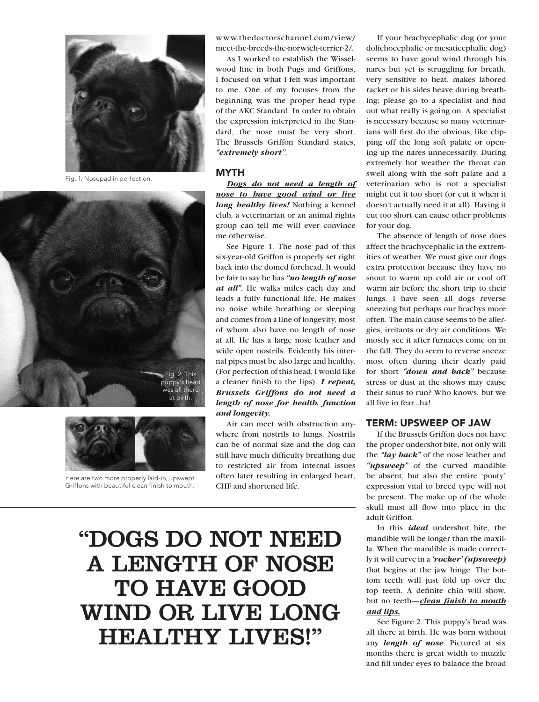

Fig. 1: Nosepad in perfection.





Here are two more properly laid-in, upswept Griffons with beautiful clean finish to mouth.

www.thedoctorschannel.com/view/ meet-the-breeds-the-norwich-terrier-2/.

As I worked to establish the Wisselwood line in both Pugs and Griffons, I focused on what I felt was important to me. One of my focuses from the beginning was the proper head type of the AKC Standard. In order to obtain the expression interpreted in the Standard, the nose must be very short. The Brussels Griffon Standard states, *"extremely short"*.

#### MYTH

*Dogs do not need a length of nose to have good wind or live long healthy lives!* Nothing a kennel club, a veterinarian or an animal rights group can tell me will ever convince me otherwise.

See Figure 1. The nose pad of this six-year-old Griffon is properly set right back into the domed forehead. It would be fair to say he has *"no length of nose at all"*. He walks miles each day and leads a fully functional life. He makes no noise while breathing or sleeping and comes from a line of longevity, most of whom also have no length of nose at all. He has a large nose leather and wide open nostrils. Evidently his internal pipes must be also large and healthy. (For perfection of this head, I would like a cleaner finish to the lips). *I repeat, Brussels Griffons do not need a length of nose for health, function and longevity.*

Air can meet with obstruction anywhere from nostrils to lungs. Nostrils can be of normal size and the dog can still have much difficulty breathing due to restricted air from internal issues often later resulting in enlarged heart, CHF and shortened life.

"DOGS DO NOT NEED A LENGTH OF NOSE TO HAVE GOOD WIND OR LIVE LONG HEALTHY LIVES!"

If your brachycephalic dog (or your dolichocephalic or mesaticephalic dog) seems to have good wind through his nares but yet is struggling for breath, very sensitive to heat, makes labored racket or his sides heave during breathing; please go to a specialist and find out what really is going on. A specialist is necessary because so many veterinarians will first do the obvious, like clipping off the long soft palate or opening up the nares unnecessarily. During extremely hot weather the throat can swell along with the soft palate and a veterinarian who is not a specialist might cut it too short (or cut it when it doesn't actually need it at all). Having it cut too short can cause other problems for your dog.

The absence of length of nose does affect the brachycephalic in the extremities of weather. We must give our dogs extra protection because they have no snout to warm up cold air or cool off warm air before the short trip to their lungs. I have seen all dogs reverse sneezing but perhaps our brachys more often. The main cause seems to be allergies, irritants or dry air conditions. We mostly see it after furnaces come on in the fall. They do seem to reverse sneeze most often during their dearly paid for short *"down and back"* because stress or dust at the shows may cause their sinus to run? Who knows, but we all live in fear...ha!

#### TERM: UPSWEEP OF JAW

If the Brussels Griffon does not have the proper undershot bite, not only will the *"lay back"* of the nose leather and *"upsweep"* of the curved mandible be absent, but also the entire 'pouty' expression vital to breed type will not be present. The make up of the whole skull must all flow into place in the adult Griffon.

In this *ideal* undershot bite, the mandible will be longer than the maxilla. When the mandible is made correctly it will curve in a *'rocker' (upsweep)*  that begins at the jaw hinge. The bottom teeth will just fold up over the top teeth. A definite chin will show, but no teeth—*clean finish to mouth and lips.*

See Figure 2. This puppy's head was all there at birth. He was born without any *length of nose*. Pictured at six months there is great width to muzzle and fill under eyes to balance the broad